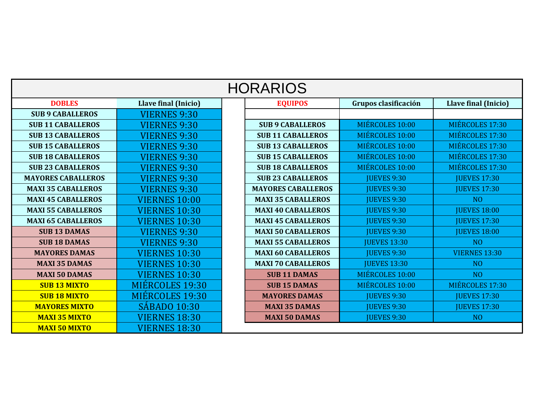| <b>HORARIOS</b>           |                      |  |                           |                      |                      |  |  |  |  |  |  |
|---------------------------|----------------------|--|---------------------------|----------------------|----------------------|--|--|--|--|--|--|
| <b>DOBLES</b>             | Llave final (Inicio) |  | <b>EQUIPOS</b>            | Grupos clasificación | Llave final (Inicio) |  |  |  |  |  |  |
| <b>SUB 9 CABALLEROS</b>   | <b>VIERNES 9:30</b>  |  |                           |                      |                      |  |  |  |  |  |  |
| <b>SUB 11 CABALLEROS</b>  | <b>VIERNES 9:30</b>  |  | <b>SUB 9 CABALLEROS</b>   | MIÉRCOLES 10:00      | MIÉRCOLES 17:30      |  |  |  |  |  |  |
| <b>SUB 13 CABALLEROS</b>  | <b>VIERNES 9:30</b>  |  | <b>SUB 11 CABALLEROS</b>  | MIÉRCOLES 10:00      | MIÉRCOLES 17:30      |  |  |  |  |  |  |
| <b>SUB 15 CABALLEROS</b>  | <b>VIERNES 9:30</b>  |  | <b>SUB 13 CABALLEROS</b>  | MIÉRCOLES 10:00      | MIÉRCOLES 17:30      |  |  |  |  |  |  |
| <b>SUB 18 CABALLEROS</b>  | <b>VIERNES 9:30</b>  |  | <b>SUB 15 CABALLEROS</b>  | MIÉRCOLES 10:00      | MIÉRCOLES 17:30      |  |  |  |  |  |  |
| <b>SUB 23 CABALLEROS</b>  | <b>VIERNES 9:30</b>  |  | <b>SUB 18 CABALLEROS</b>  | MIÉRCOLES 10:00      | MIÉRCOLES 17:30      |  |  |  |  |  |  |
| <b>MAYORES CABALLEROS</b> | <b>VIERNES 9:30</b>  |  | <b>SUB 23 CABALLEROS</b>  | <b>JUEVES 9:30</b>   | <b>JUEVES 17:30</b>  |  |  |  |  |  |  |
| <b>MAXI 35 CABALLEROS</b> | <b>VIERNES 9:30</b>  |  | <b>MAYORES CABALLEROS</b> | <b>JUEVES 9:30</b>   | <b>JUEVES 17:30</b>  |  |  |  |  |  |  |
| <b>MAXI 45 CABALLEROS</b> | <b>VIERNES 10:00</b> |  | <b>MAXI 35 CABALLEROS</b> | <b>JUEVES 9:30</b>   | N <sub>O</sub>       |  |  |  |  |  |  |
| <b>MAXI 55 CABALLEROS</b> | <b>VIERNES 10:30</b> |  | <b>MAXI 40 CABALLEROS</b> | <b>JUEVES 9:30</b>   | <b>JUEVES 18:00</b>  |  |  |  |  |  |  |
| <b>MAXI 65 CABALLEROS</b> | <b>VIERNES 10:30</b> |  | <b>MAXI 45 CABALLEROS</b> | <b>JUEVES 9:30</b>   | <b>JUEVES 17:30</b>  |  |  |  |  |  |  |
| <b>SUB 13 DAMAS</b>       | <b>VIERNES 9:30</b>  |  | <b>MAXI 50 CABALLEROS</b> | <b>JUEVES 9:30</b>   | <b>JUEVES 18:00</b>  |  |  |  |  |  |  |
| <b>SUB 18 DAMAS</b>       | <b>VIERNES 9:30</b>  |  | <b>MAXI 55 CABALLEROS</b> | <b>JUEVES 13:30</b>  | N <sub>O</sub>       |  |  |  |  |  |  |
| <b>MAYORES DAMAS</b>      | <b>VIERNES 10:30</b> |  | <b>MAXI 60 CABALLEROS</b> | <b>JUEVES 9:30</b>   | <b>VIERNES 13:30</b> |  |  |  |  |  |  |
| <b>MAXI 35 DAMAS</b>      | <b>VIERNES 10:30</b> |  | <b>MAXI 70 CABALLEROS</b> | <b>JUEVES 13:30</b>  | N <sub>O</sub>       |  |  |  |  |  |  |
| <b>MAXI 50 DAMAS</b>      | <b>VIERNES 10:30</b> |  | <b>SUB 11 DAMAS</b>       | MIÉRCOLES 10:00      | N <sub>O</sub>       |  |  |  |  |  |  |
| <b>SUB 13 MIXTO</b>       | MIÉRCOLES 19:30      |  | <b>SUB 15 DAMAS</b>       | MIÉRCOLES 10:00      | MIÉRCOLES 17:30      |  |  |  |  |  |  |
| <b>SUB 18 MIXTO</b>       | MIÉRCOLES 19:30      |  | <b>MAYORES DAMAS</b>      | <b>JUEVES 9:30</b>   | <b>JUEVES 17:30</b>  |  |  |  |  |  |  |
| <b>MAYORES MIXTO</b>      | <b>SÁBADO 10:30</b>  |  | <b>MAXI 35 DAMAS</b>      | <b>JUEVES 9:30</b>   | <b>JUEVES 17:30</b>  |  |  |  |  |  |  |
| <b>MAXI 35 MIXTO</b>      | <b>VIERNES 18:30</b> |  | <b>MAXI 50 DAMAS</b>      | <b>JUEVES 9:30</b>   | N <sub>O</sub>       |  |  |  |  |  |  |
| <b>MAXI 50 MIXTO</b>      | <b>VIERNES 18:30</b> |  |                           |                      |                      |  |  |  |  |  |  |